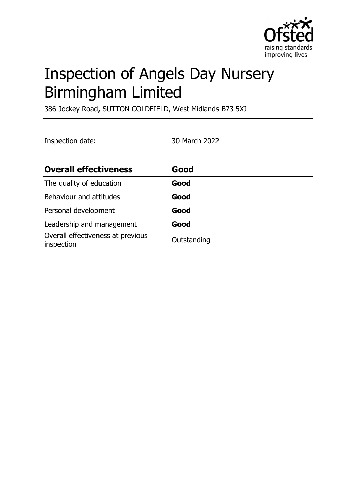

# Inspection of Angels Day Nursery Birmingham Limited

386 Jockey Road, SUTTON COLDFIELD, West Midlands B73 5XJ

Inspection date: 30 March 2022

| <b>Overall effectiveness</b>                    | Good        |
|-------------------------------------------------|-------------|
| The quality of education                        | Good        |
| Behaviour and attitudes                         | Good        |
| Personal development                            | Good        |
| Leadership and management                       | Good        |
| Overall effectiveness at previous<br>inspection | Outstanding |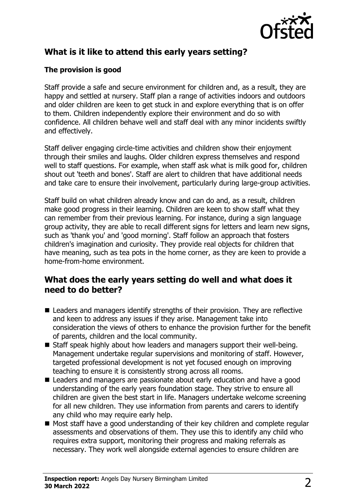

# **What is it like to attend this early years setting?**

### **The provision is good**

Staff provide a safe and secure environment for children and, as a result, they are happy and settled at nursery. Staff plan a range of activities indoors and outdoors and older children are keen to get stuck in and explore everything that is on offer to them. Children independently explore their environment and do so with confidence. All children behave well and staff deal with any minor incidents swiftly and effectively.

Staff deliver engaging circle-time activities and children show their enjoyment through their smiles and laughs. Older children express themselves and respond well to staff questions. For example, when staff ask what is milk good for, children shout out 'teeth and bones'. Staff are alert to children that have additional needs and take care to ensure their involvement, particularly during large-group activities.

Staff build on what children already know and can do and, as a result, children make good progress in their learning. Children are keen to show staff what they can remember from their previous learning. For instance, during a sign language group activity, they are able to recall different signs for letters and learn new signs, such as 'thank you' and 'good morning'. Staff follow an approach that fosters children's imagination and curiosity. They provide real objects for children that have meaning, such as tea pots in the home corner, as they are keen to provide a home-from-home environment.

## **What does the early years setting do well and what does it need to do better?**

- $\blacksquare$  Leaders and managers identify strengths of their provision. They are reflective and keen to address any issues if they arise. Management take into consideration the views of others to enhance the provision further for the benefit of parents, children and the local community.
- $\blacksquare$  Staff speak highly about how leaders and managers support their well-being. Management undertake regular supervisions and monitoring of staff. However, targeted professional development is not yet focused enough on improving teaching to ensure it is consistently strong across all rooms.
- Leaders and managers are passionate about early education and have a good understanding of the early years foundation stage. They strive to ensure all children are given the best start in life. Managers undertake welcome screening for all new children. They use information from parents and carers to identify any child who may require early help.
- $\blacksquare$  Most staff have a good understanding of their key children and complete regular assessments and observations of them. They use this to identify any child who requires extra support, monitoring their progress and making referrals as necessary. They work well alongside external agencies to ensure children are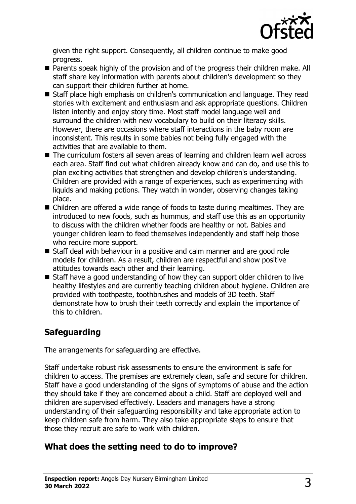

given the right support. Consequently, all children continue to make good progress.

- Parents speak highly of the provision and of the progress their children make. All staff share key information with parents about children's development so they can support their children further at home.
- Staff place high emphasis on children's communication and language. They read stories with excitement and enthusiasm and ask appropriate questions. Children listen intently and enjoy story time. Most staff model language well and surround the children with new vocabulary to build on their literacy skills. However, there are occasions where staff interactions in the baby room are inconsistent. This results in some babies not being fully engaged with the activities that are available to them.
- The curriculum fosters all seven areas of learning and children learn well across each area. Staff find out what children already know and can do, and use this to plan exciting activities that strengthen and develop children's understanding. Children are provided with a range of experiences, such as experimenting with liquids and making potions. They watch in wonder, observing changes taking place.
- $\blacksquare$  Children are offered a wide range of foods to taste during mealtimes. They are introduced to new foods, such as hummus, and staff use this as an opportunity to discuss with the children whether foods are healthy or not. Babies and younger children learn to feed themselves independently and staff help those who require more support.
- Staff deal with behaviour in a positive and calm manner and are good role models for children. As a result, children are respectful and show positive attitudes towards each other and their learning.
- $\blacksquare$  Staff have a good understanding of how they can support older children to live healthy lifestyles and are currently teaching children about hygiene. Children are provided with toothpaste, toothbrushes and models of 3D teeth. Staff demonstrate how to brush their teeth correctly and explain the importance of this to children.

# **Safeguarding**

The arrangements for safeguarding are effective.

Staff undertake robust risk assessments to ensure the environment is safe for children to access. The premises are extremely clean, safe and secure for children. Staff have a good understanding of the signs of symptoms of abuse and the action they should take if they are concerned about a child. Staff are deployed well and children are supervised effectively. Leaders and managers have a strong understanding of their safeguarding responsibility and take appropriate action to keep children safe from harm. They also take appropriate steps to ensure that those they recruit are safe to work with children.

# **What does the setting need to do to improve?**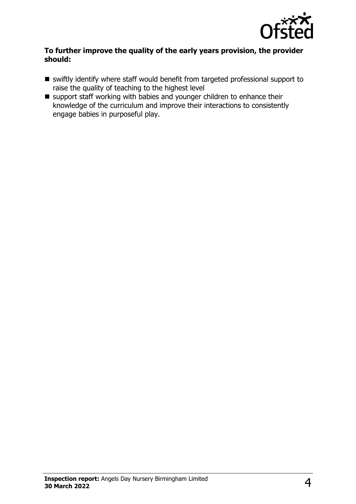

#### **To further improve the quality of the early years provision, the provider should:**

- $\blacksquare$  swiftly identify where staff would benefit from targeted professional support to raise the quality of teaching to the highest level
- $\blacksquare$  support staff working with babies and younger children to enhance their knowledge of the curriculum and improve their interactions to consistently engage babies in purposeful play.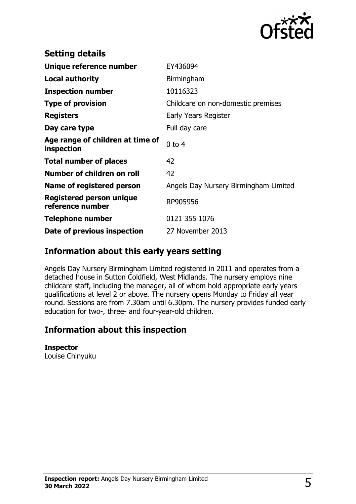

| <b>Setting details</b>                         |                                       |
|------------------------------------------------|---------------------------------------|
| Unique reference number                        | EY436094                              |
| <b>Local authority</b>                         | Birmingham                            |
| <b>Inspection number</b>                       | 10116323                              |
| <b>Type of provision</b>                       | Childcare on non-domestic premises    |
| <b>Registers</b>                               | Early Years Register                  |
| Day care type                                  | Full day care                         |
| Age range of children at time of<br>inspection | $0$ to 4                              |
| <b>Total number of places</b>                  | 42                                    |
| Number of children on roll                     | 42                                    |
| Name of registered person                      | Angels Day Nursery Birmingham Limited |
| Registered person unique<br>reference number   | RP905956                              |
| <b>Telephone number</b>                        | 0121 355 1076                         |
| Date of previous inspection                    | 27 November 2013                      |

## **Information about this early years setting**

Angels Day Nursery Birmingham Limited registered in 2011 and operates from a detached house in Sutton Coldfield, West Midlands. The nursery employs nine childcare staff, including the manager, all of whom hold appropriate early years qualifications at level 2 or above. The nursery opens Monday to Friday all year round. Sessions are from 7.30am until 6.30pm. The nursery provides funded early education for two-, three- and four-year-old children.

## **Information about this inspection**

#### **Inspector**

Louise Chinyuku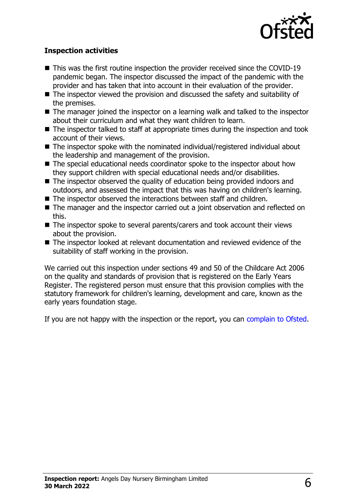

#### **Inspection activities**

- $\blacksquare$  This was the first routine inspection the provider received since the COVID-19 pandemic began. The inspector discussed the impact of the pandemic with the provider and has taken that into account in their evaluation of the provider.
- $\blacksquare$  The inspector viewed the provision and discussed the safety and suitability of the premises.
- $\blacksquare$  The manager joined the inspector on a learning walk and talked to the inspector about their curriculum and what they want children to learn.
- $\blacksquare$  The inspector talked to staff at appropriate times during the inspection and took account of their views.
- $\blacksquare$  The inspector spoke with the nominated individual/registered individual about the leadership and management of the provision.
- The special educational needs coordinator spoke to the inspector about how they support children with special educational needs and/or disabilities.
- $\blacksquare$  The inspector observed the quality of education being provided indoors and outdoors, and assessed the impact that this was having on children's learning.
- $\blacksquare$  The inspector observed the interactions between staff and children.
- $\blacksquare$  The manager and the inspector carried out a joint observation and reflected on this.
- $\blacksquare$  The inspector spoke to several parents/carers and took account their views about the provision.
- $\blacksquare$  The inspector looked at relevant documentation and reviewed evidence of the suitability of staff working in the provision.

We carried out this inspection under sections 49 and 50 of the Childcare Act 2006 on the quality and standards of provision that is registered on the Early Years Register. The registered person must ensure that this provision complies with the statutory framework for children's learning, development and care, known as the early years foundation stage.

If you are not happy with the inspection or the report, you can [complain to Ofsted](http://www.gov.uk/complain-ofsted-report).